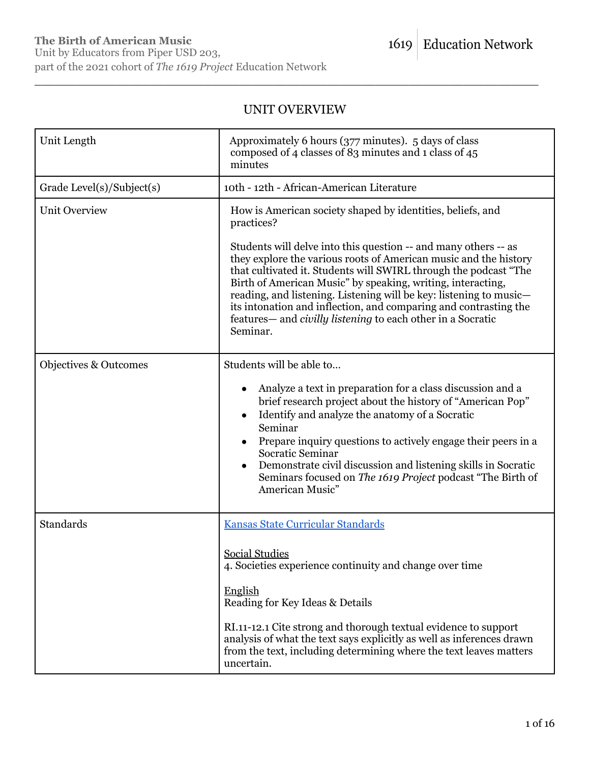# UNIT OVERVIEW

| Unit Length               | Approximately 6 hours (377 minutes). 5 days of class<br>composed of 4 classes of 83 minutes and 1 class of 45<br>minutes                                                                                                                                                                                                                                                                                                                                                                                                                                                       |
|---------------------------|--------------------------------------------------------------------------------------------------------------------------------------------------------------------------------------------------------------------------------------------------------------------------------------------------------------------------------------------------------------------------------------------------------------------------------------------------------------------------------------------------------------------------------------------------------------------------------|
| Grade Level(s)/Subject(s) | 10th - 12th - African-American Literature                                                                                                                                                                                                                                                                                                                                                                                                                                                                                                                                      |
| <b>Unit Overview</b>      | How is American society shaped by identities, beliefs, and<br>practices?<br>Students will delve into this question -- and many others -- as<br>they explore the various roots of American music and the history<br>that cultivated it. Students will SWIRL through the podcast "The<br>Birth of American Music" by speaking, writing, interacting,<br>reading, and listening. Listening will be key: listening to music—<br>its intonation and inflection, and comparing and contrasting the<br>features— and <i>civilly listening</i> to each other in a Socratic<br>Seminar. |
| Objectives & Outcomes     | Students will be able to<br>Analyze a text in preparation for a class discussion and a<br>brief research project about the history of "American Pop"<br>Identify and analyze the anatomy of a Socratic<br>Seminar<br>Prepare inquiry questions to actively engage their peers in a<br>Socratic Seminar<br>Demonstrate civil discussion and listening skills in Socratic<br>Seminars focused on The 1619 Project podcast "The Birth of<br>American Music"                                                                                                                       |
| <b>Standards</b>          | Kansas State Curricular Standards<br><b>Social Studies</b><br>4. Societies experience continuity and change over time<br>English<br>Reading for Key Ideas & Details<br>RI.11-12.1 Cite strong and thorough textual evidence to support<br>analysis of what the text says explicitly as well as inferences drawn<br>from the text, including determining where the text leaves matters<br>uncertain.                                                                                                                                                                            |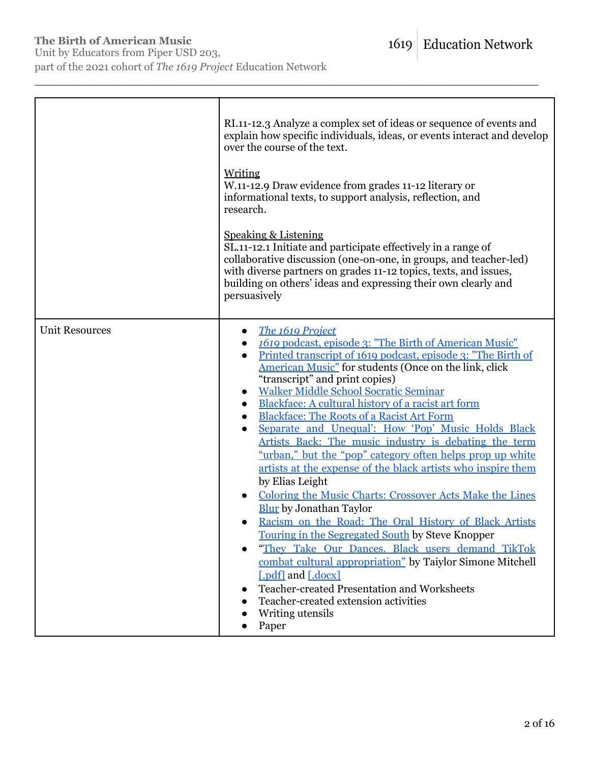Unit by Educators from Piper USD 203, part of the 2021 cohort of *The 1619 Project* Education Network

|                       | RI.11-12.3 Analyze a complex set of ideas or sequence of events and<br>explain how specific individuals, ideas, or events interact and develop<br>over the course of the text.<br>Writing<br>W.11-12.9 Draw evidence from grades 11-12 literary or<br>informational texts, to support analysis, reflection, and<br>research.<br>Speaking & Listening<br>SL.11-12.1 Initiate and participate effectively in a range of<br>collaborative discussion (one-on-one, in groups, and teacher-led)<br>with diverse partners on grades 11-12 topics, texts, and issues,<br>building on others' ideas and expressing their own clearly and<br>persuasively                                                                                                                                                                                                                                                                                                                                                                                                                                                                                                                            |
|-----------------------|-----------------------------------------------------------------------------------------------------------------------------------------------------------------------------------------------------------------------------------------------------------------------------------------------------------------------------------------------------------------------------------------------------------------------------------------------------------------------------------------------------------------------------------------------------------------------------------------------------------------------------------------------------------------------------------------------------------------------------------------------------------------------------------------------------------------------------------------------------------------------------------------------------------------------------------------------------------------------------------------------------------------------------------------------------------------------------------------------------------------------------------------------------------------------------|
| <b>Unit Resources</b> | The 1619 Project<br>$\bullet$<br>1619 podcast, episode 3: "The Birth of American Music"<br>Printed transcript of 1619 podcast, episode 3: "The Birth of<br>$\bullet$<br>American Music" for students (Once on the link, click<br>"transcript" and print copies)<br><b>Walker Middle School Socratic Seminar</b><br>Blackface: A cultural history of a racist art form<br><b>Blackface: The Roots of a Racist Art Form</b><br>$\bullet$<br>Separate and Unequal': How 'Pop' Music Holds Black<br>Artists Back: The music industry is debating the term<br>"urban," but the "pop" category often helps prop up white<br>artists at the expense of the black artists who inspire them<br>by Elias Leight<br>Coloring the Music Charts: Crossover Acts Make the Lines<br><b>Blur</b> by Jonathan Taylor<br>Racism on the Road: The Oral History of Black Artists<br>Touring in the Segregated South by Steve Knopper<br>"They Take Our Dances. Black users demand TikTok<br>combat cultural appropriation" by Taiylor Simone Mitchell<br>[.pdf] and [.docx]<br>Teacher-created Presentation and Worksheets<br>Teacher-created extension activities<br>Writing utensils<br>Paper |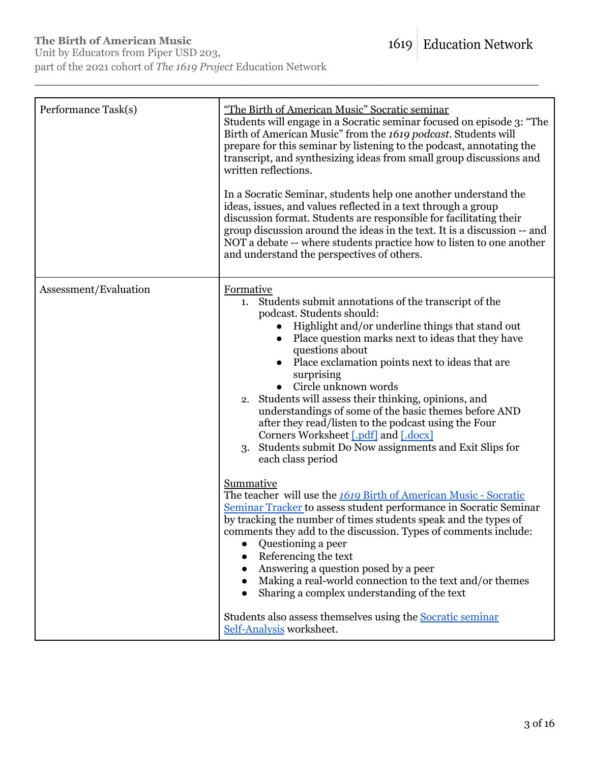| Performance Task(s)   | "The Birth of American Music" Socratic seminar<br>Students will engage in a Socratic seminar focused on episode 3: "The<br>Birth of American Music" from the 1619 podcast. Students will<br>prepare for this seminar by listening to the podcast, annotating the<br>transcript, and synthesizing ideas from small group discussions and<br>written reflections.<br>In a Socratic Seminar, students help one another understand the<br>ideas, issues, and values reflected in a text through a group<br>discussion format. Students are responsible for facilitating their<br>group discussion around the ideas in the text. It is a discussion -- and<br>NOT a debate -- where students practice how to listen to one another<br>and understand the perspectives of others.                                                                                                                                                                                                                                                                                                                                                                                                                                                |
|-----------------------|----------------------------------------------------------------------------------------------------------------------------------------------------------------------------------------------------------------------------------------------------------------------------------------------------------------------------------------------------------------------------------------------------------------------------------------------------------------------------------------------------------------------------------------------------------------------------------------------------------------------------------------------------------------------------------------------------------------------------------------------------------------------------------------------------------------------------------------------------------------------------------------------------------------------------------------------------------------------------------------------------------------------------------------------------------------------------------------------------------------------------------------------------------------------------------------------------------------------------|
| Assessment/Evaluation | Formative<br>1. Students submit annotations of the transcript of the<br>podcast. Students should:<br>Highlight and/or underline things that stand out<br>Place question marks next to ideas that they have<br>questions about<br>Place exclamation points next to ideas that are<br>surprising<br>Circle unknown words<br>2. Students will assess their thinking, opinions, and<br>understandings of some of the basic themes before AND<br>after they read/listen to the podcast using the Four<br>Corners Worksheet [.pdf] and [.docx]<br>Students submit Do Now assignments and Exit Slips for<br>3.<br>each class period<br><b>Summative</b><br>The teacher will use the 1619 Birth of American Music - Socratic<br>Seminar Tracker to assess student performance in Socratic Seminar<br>by tracking the number of times students speak and the types of<br>comments they add to the discussion. Types of comments include:<br>Questioning a peer<br>Referencing the text<br>Answering a question posed by a peer<br>Making a real-world connection to the text and/or themes<br>Sharing a complex understanding of the text<br>Students also assess themselves using the Socratic seminar<br>Self-Analysis worksheet. |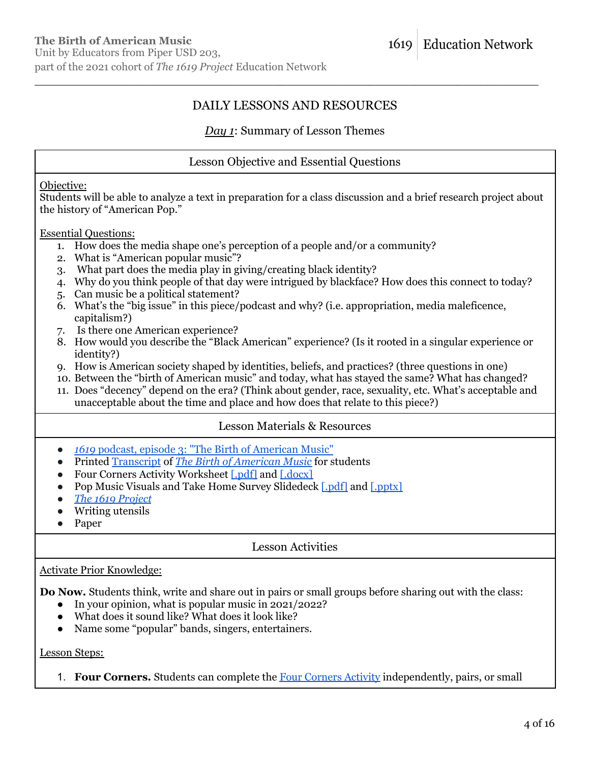# DAILY LESSONS AND RESOURCES

\_\_\_\_\_\_\_\_\_\_\_\_\_\_\_\_\_\_\_\_\_\_\_\_\_\_\_\_\_\_\_\_\_\_\_\_\_\_\_\_\_\_\_\_\_\_\_\_\_\_\_\_\_\_\_\_\_\_\_\_\_\_\_\_\_\_\_\_\_\_\_\_\_\_

## *Day 1*: Summary of Lesson Themes

## Lesson Objective and Essential Questions

#### Objective:

Students will be able to analyze a text in preparation for a class discussion and a brief research project about the history of "American Pop."

#### Essential Questions:

- 1. How does the media shape one's perception of a people and/or a community?
- 2. What is "American popular music"?
- 3. What part does the media play in giving/creating black identity?
- 4. Why do you think people of that day were intrigued by blackface? How does this connect to today?
- 5. Can music be a political statement?
- 6. What's the "big issue" in this piece/podcast and why? (i.e. appropriation, media maleficence, capitalism?)
- 7. Is there one American experience?
- 8. How would you describe the "Black American" experience? (Is it rooted in a singular experience or identity?)
- 9. How is American society shaped by identities, beliefs, and practices? (three questions in one)
- 10. Between the "birth of American music" and today, what has stayed the same? What has changed?
- 11. Does "decency" depend on the era? (Think about gender, race, sexuality, etc. What's acceptable and unacceptable about the time and place and how does that relate to this piece?)

## Lesson Materials & Resources

- *1619* podcast, episode 3: "The Birth of [American](https://www.nytimes.com/2019/09/06/podcasts/1619-black-ame%20rican-music-appropriation.html) Music"
- Printed [Transcript](https://www.nytimes.com/2019/09/06/podcasts/1619-black-american-music-appropriation.html?showTranscript=1) of *The Birth of [American](https://www.nytimes.com/2019/09/06/podcasts/1619-black-american-music-appropriation.html?showTranscript=1) Music* for students
- Four Corners Activity Worksheet [\[.pdf\]](https://pulitzercenter.org/sites/default/files/inline-images/tzdO4A42bNn2ZzipE4RpZ7omZQUS7H6GPltDNUQJFH01NipOBX.pdf) and [\[.docx\]](https://pulitzercenter.org/sites/default/files/inline-images/o11Xtr2QMLgIMFyAFKiLsRzsWc1VXGCW58RKmDrzS4nww7pnm3.docx)
- Pop Music Visuals and Take Home Survey Slidedeck [\[.pdf\]](https://pulitzercenter.org/sites/default/files/inline-images/nO8zK7WqjbeuUvoI6ksiST2Mcr6BdFqLKZoL4Wlp9yZ2FrZ8i9.pdf) and [\[.pptx\]](https://pulitzercenter.org/sites/default/files/inline-images/iv8WFZESdsZraLsIPNYmvwcbjPt6ViVTVSbwPT0zfx88snF6Za.pptx)
- *● The 1619 [Project](https://pulitzercenter.org/sites/default/files/full_issue_of_the_1619_project.pdf)*
- Writing utensils
- Paper

## Lesson Activities

### Activate Prior Knowledge:

**Do Now.** Students think, write and share out in pairs or small groups before sharing out with the class:

- In your opinion, what is popular music in 2021/2022?
- What does it sound like? What does it look like?
- Name some "popular" bands, singers, entertainers.

### Lesson Steps:

1. **Four Corners.** Students can complete the Four [Corners](https://pulitzercenter.org/sites/default/files/inline-images/tzdO4A42bNn2ZzipE4RpZ7omZQUS7H6GPltDNUQJFH01NipOBX.pdf) Activity independently, pairs, or small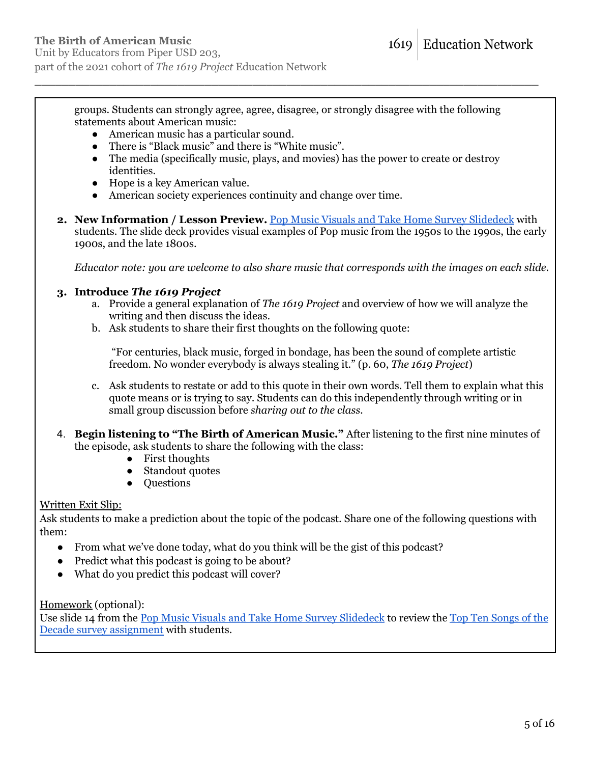part of the 2021 cohort of *The 1619 Project* Education Network

groups. Students can strongly agree, agree, disagree, or strongly disagree with the following statements about American music:

\_\_\_\_\_\_\_\_\_\_\_\_\_\_\_\_\_\_\_\_\_\_\_\_\_\_\_\_\_\_\_\_\_\_\_\_\_\_\_\_\_\_\_\_\_\_\_\_\_\_\_\_\_\_\_\_\_\_\_\_\_\_\_\_\_\_\_\_\_\_\_\_\_\_

- American music has a particular sound.
- There is "Black music" and there is "White music".
- The media (specifically music, plays, and movies) has the power to create or destroy identities.
- Hope is a key American value.
- American society experiences continuity and change over time.
- **2. New Information / Lesson Preview.** Pop Music Visuals and Take Home Survey [Slidedeck](https://pulitzercenter.org/sites/default/files/inline-images/nO8zK7WqjbeuUvoI6ksiST2Mcr6BdFqLKZoL4Wlp9yZ2FrZ8i9.pdf) with students. The slide deck provides visual examples of Pop music from the 1950s to the 1990s, the early 1900s, and the late 1800s.

*Educator note: you are welcome to also share music that corresponds with the images on each slide.*

#### **3. Introduce** *The 1619 Project*

- a. Provide a general explanation of *The 1619 Project* and overview of how we will analyze the writing and then discuss the ideas.
- b. Ask students to share their first thoughts on the following quote:

"For centuries, black music, forged in bondage, has been the sound of complete artistic freedom. No wonder everybody is always stealing it." (p. 60, *The 1619 Project*)

- c. Ask students to restate or add to this quote in their own words. Tell them to explain what this quote means or is trying to say. Students can do this independently through writing or in small group discussion before *sharing out to the class.*
- 4. **Begin listening to "The Birth of American Music."** After listening to the first nine minutes of the episode, ask students to share the following with the class:
	- First thoughts
	- Standout quotes
	- Questions

#### Written Exit Slip:

Ask students to make a prediction about the topic of the podcast. Share one of the following questions with them:

- From what we've done today, what do you think will be the gist of this podcast?
- Predict what this podcast is going to be about?
- What do you predict this podcast will cover?

Homework (optional):

Use slide 14 from the Pop Music Visuals and Take Home Survey [Slidedeck](https://pulitzercenter.org/sites/default/files/inline-images/nO8zK7WqjbeuUvoI6ksiST2Mcr6BdFqLKZoL4Wlp9yZ2FrZ8i9.pdf) to review the Top Ten [Songs](https://pulitzercenter.org/sites/default/files/inline-images/m9h7bCk9LML1kWkOEEJHQkmMzAIfqnrJM9EBbSKz6yvSXQkBUC.pdf) of the Decade survey [assignment](https://pulitzercenter.org/sites/default/files/inline-images/m9h7bCk9LML1kWkOEEJHQkmMzAIfqnrJM9EBbSKz6yvSXQkBUC.pdf) with students.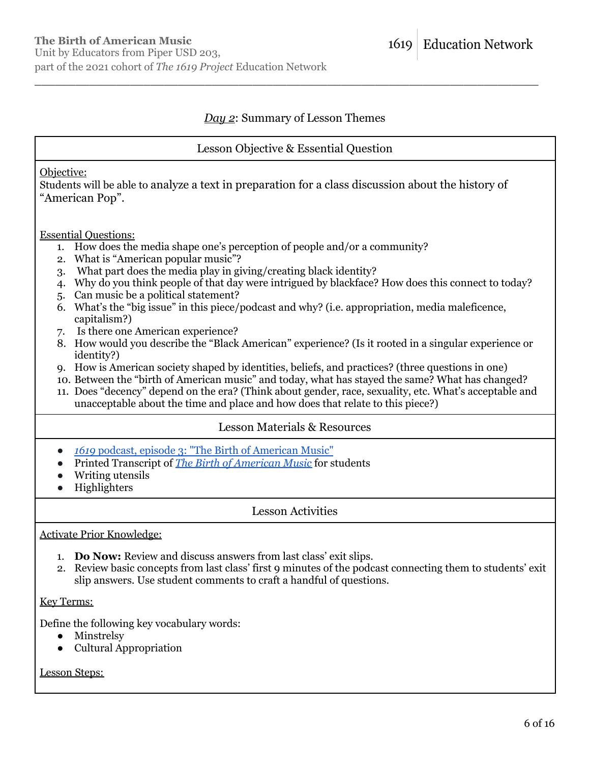## *Day 2*: Summary of Lesson Themes

\_\_\_\_\_\_\_\_\_\_\_\_\_\_\_\_\_\_\_\_\_\_\_\_\_\_\_\_\_\_\_\_\_\_\_\_\_\_\_\_\_\_\_\_\_\_\_\_\_\_\_\_\_\_\_\_\_\_\_\_\_\_\_\_\_\_\_\_\_\_\_\_\_\_

### Lesson Objective & Essential Question

#### Objective:

Students will be able to analyze a text in preparation for a class discussion about the history of "American Pop".

#### Essential Questions:

- 1. How does the media shape one's perception of people and/or a community?
- 2. What is "American popular music"?
- 3. What part does the media play in giving/creating black identity?
- 4. Why do you think people of that day were intrigued by blackface? How does this connect to today?
- 5. Can music be a political statement?
- 6. What's the "big issue" in this piece/podcast and why? (i.e. appropriation, media maleficence, capitalism?)
- 7. Is there one American experience?
- 8. How would you describe the "Black American" experience? (Is it rooted in a singular experience or identity?)
- 9. How is American society shaped by identities, beliefs, and practices? (three questions in one)
- 10. Between the "birth of American music" and today, what has stayed the same? What has changed?
- 11. Does "decency" depend on the era? (Think about gender, race, sexuality, etc. What's acceptable and unacceptable about the time and place and how does that relate to this piece?)

## Lesson Materials & Resources

- *1619* podcast, episode 3: "The Birth of [American](https://www.nytimes.com/2019/09/06/podcasts/1619-black-ame%20rican-music-appropriation.html) Music"
- Printed Transcript of *The Birth of [American](https://www.nytimes.com/2019/09/06/podcasts/1619-black-american-music-appropriation.html?showTranscript=1) Music* for students
- Writing utensils
- Highlighters

## Lesson Activities

### Activate Prior Knowledge:

- 1. **Do Now:** Review and discuss answers from last class' exit slips.
- 2. Review basic concepts from last class' first 9 minutes of the podcast connecting them to students' exit slip answers. Use student comments to craft a handful of questions.

### Key Terms:

Define the following key vocabulary words:

- Minstrelsy
- Cultural Appropriation

### Lesson Steps: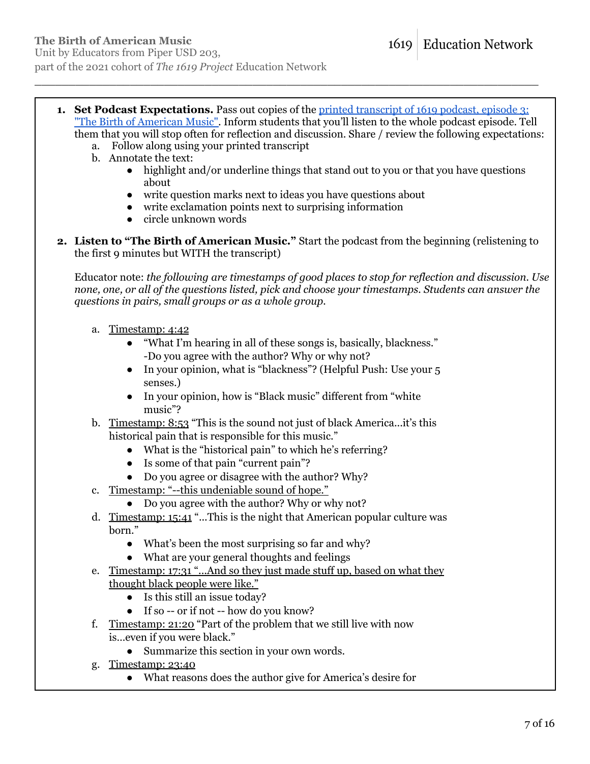**1. Set Podcast Expectations.** Pass out copies of the printed [transcript](https://www.nytimes.com/2019/09/06/podcasts/1619-black-american-music-appropriation.html?showTranscript=1) of 1619 podcast, episode 3: "The Birth of [American](https://www.nytimes.com/2019/09/06/podcasts/1619-black-american-music-appropriation.html?showTranscript=1) Music". Inform students that you'll listen to the whole podcast episode. Tell them that you will stop often for reflection and discussion. Share / review the following expectations:

\_\_\_\_\_\_\_\_\_\_\_\_\_\_\_\_\_\_\_\_\_\_\_\_\_\_\_\_\_\_\_\_\_\_\_\_\_\_\_\_\_\_\_\_\_\_\_\_\_\_\_\_\_\_\_\_\_\_\_\_\_\_\_\_\_\_\_\_\_\_\_\_\_\_

- a. Follow along using your printed transcript
- b. Annotate the text:
	- highlight and/or underline things that stand out to you or that you have questions about
	- write question marks next to ideas you have questions about
	- write exclamation points next to surprising information
	- circle unknown words
- **2. Listen to "The Birth of American Music."** Start the podcast from the beginning (relistening to the first 9 minutes but WITH the transcript)

Educator note: *the following are timestamps of good places to stop for reflection and discussion. Use none, one, or all of the questions listed, pick and choose your timestamps. Students can answer the questions in pairs, small groups or as a whole group.*

- a. Timestamp: 4:42
	- **●** "What I'm hearing in all of these songs is, basically, blackness." -Do you agree with the author? Why or why not?
	- **●** In your opinion, what is "blackness"? (Helpful Push: Use your 5 senses.)
	- **●** In your opinion, how is "Black music" different from "white music"?
- b. Timestamp: 8:53 "This is the sound not just of black America...it's this historical pain that is responsible for this music."
	- **●** What is the "historical pain" to which he's referring?
	- **●** Is some of that pain "current pain"?
	- **●** Do you agree or disagree with the author? Why?
- c. Timestamp: "--this undeniable sound of hope."
	- **●** Do you agree with the author? Why or why not?
- d. Timestamp: 15:41 "...This is the night that American popular culture was born."
	- **●** What's been the most surprising so far and why?
	- **●** What are your general thoughts and feelings
- e. Timestamp: 17:31 "...And so they just made stuff up, based on what they thought black people were like."
	- **●** Is this still an issue today?
	- **●** If so -- or if not -- how do you know?
- f. Timestamp: 21:20 "Part of the problem that we still live with now is…even if you were black."
	- **●** Summarize this section in your own words.
- g. Timestamp: 23:40
	- **●** What reasons does the author give for America's desire for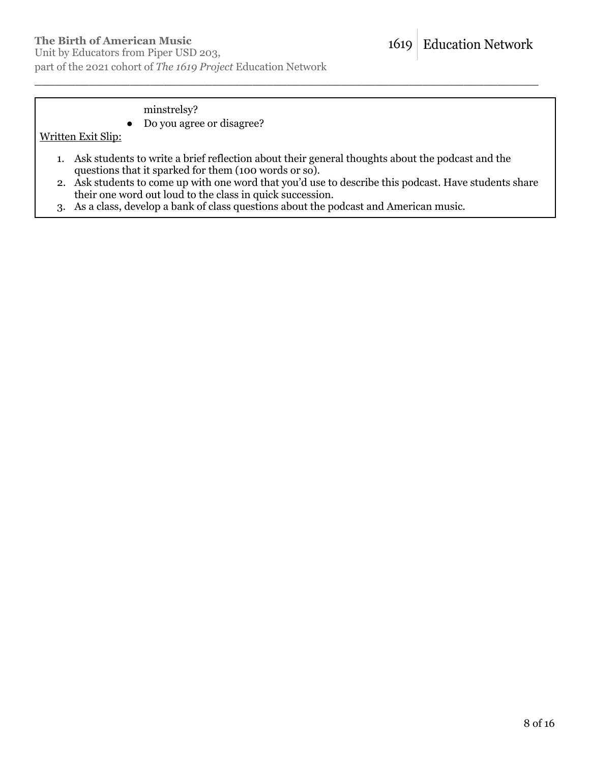Unit by Educators from Piper USD 203, part of the 2021 cohort of *The 1619 Project* Education Network

## minstrelsy?

**●** Do you agree or disagree?

### Written Exit Slip:

1. Ask students to write a brief reflection about their general thoughts about the podcast and the questions that it sparked for them (100 words or so).

- 2. Ask students to come up with one word that you'd use to describe this podcast. Have students share their one word out loud to the class in quick succession.
- 3. As a class, develop a bank of class questions about the podcast and American music.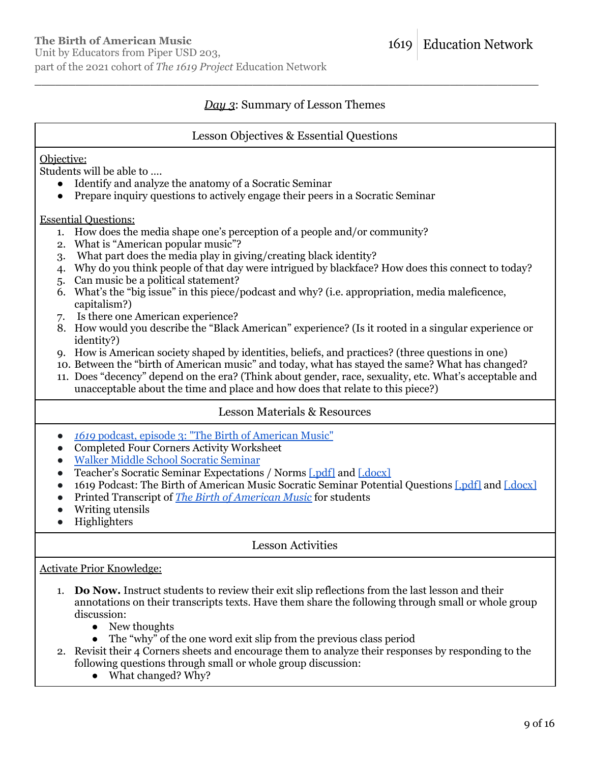## *Day 3*: Summary of Lesson Themes

\_\_\_\_\_\_\_\_\_\_\_\_\_\_\_\_\_\_\_\_\_\_\_\_\_\_\_\_\_\_\_\_\_\_\_\_\_\_\_\_\_\_\_\_\_\_\_\_\_\_\_\_\_\_\_\_\_\_\_\_\_\_\_\_\_\_\_\_\_\_\_\_\_\_

#### Lesson Objectives & Essential Questions

### Objective:

Students will be able to ….

- Identify and analyze the anatomy of a Socratic Seminar
- Prepare inquiry questions to actively engage their peers in a Socratic Seminar

Essential Questions:

- 1. How does the media shape one's perception of a people and/or community?
- 2. What is "American popular music"?
- 3. What part does the media play in giving/creating black identity?
- 4. Why do you think people of that day were intrigued by blackface? How does this connect to today?
- 5. Can music be a political statement?
- 6. What's the "big issue" in this piece/podcast and why? (i.e. appropriation, media maleficence, capitalism?)
- 7. Is there one American experience?
- 8. How would you describe the "Black American" experience? (Is it rooted in a singular experience or identity?)
- 9. How is American society shaped by identities, beliefs, and practices? (three questions in one)
- 10. Between the "birth of American music" and today, what has stayed the same? What has changed?
- 11. Does "decency" depend on the era? (Think about gender, race, sexuality, etc. What's acceptable and unacceptable about the time and place and how does that relate to this piece?)

#### Lesson Materials & Resources

- *1619* podcast, episode 3: "The Birth of [American](https://www.nytimes.com/2019/09/06/podcasts/1619-black-ame%20rican-music-appropriation.html) Music"
- Completed Four Corners Activity Worksheet
- Walker Middle School Socratic [Seminar](https://www.youtube.com/watch?v=6pGVR6ZF_2M)
- Teacher's Socratic Seminar Expectations / Norms [\[.pdf\]](https://pulitzercenter.org/sites/default/files/inline-images/bqbOsUagARM8W87qaNrDwg3FTUawQzaRSOM8drcaSdT8wopglt.pdf) and [\[.docx\]](https://pulitzercenter.org/sites/default/files/inline-images/iHtqolzdYAMO9aOvbJ0KspovswlNucj2KKe6bRn1VNYEva1X82.docx)
- 1619 Podcast: The Birth of American Music Socratic Seminar Potential Questions [\[.pdf\]](https://pulitzercenter.org/sites/default/files/inline-images/uHR0sEyjHWLPGbZmv0zhuuNRGYI9tcKyQUOnF2XozrI976kRhP.pdf) and [\[.docx\]](https://pulitzercenter.org/sites/default/files/inline-images/b5S6kRrTM9u1ETFNAak6wpWzTty2GYCcu7WQ5G73LbffbmgZLb.docx)
- Printed Transcript of *The Birth of [American](https://www.nytimes.com/2019/09/06/podcasts/1619-black-american-music-appropriation.html?showTranscript=1) Music* for students
- Writing utensils
- Highlighters

Lesson Activities

#### Activate Prior Knowledge:

- 1. **Do Now.** Instruct students to review their exit slip reflections from the last lesson and their annotations on their transcripts texts. Have them share the following through small or whole group discussion:
	- New thoughts
	- The "why" of the one word exit slip from the previous class period
- 2. Revisit their 4 Corners sheets and encourage them to analyze their responses by responding to the following questions through small or whole group discussion:
	- What changed? Why?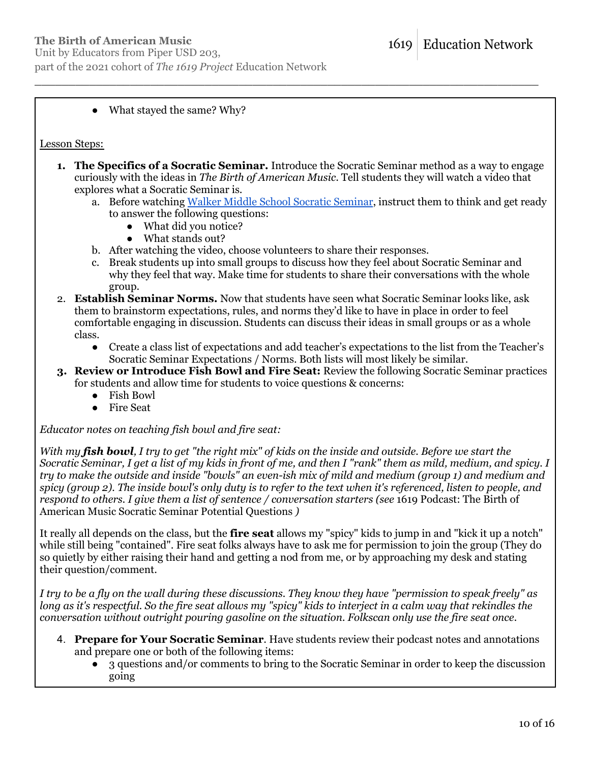Unit by Educators from Piper USD 203, part of the 2021 cohort of *The 1619 Project* Education Network

### • What stayed the same? Why?

#### Lesson Steps:

**1. The Specifics of a Socratic Seminar.** Introduce the Socratic Seminar method as a way to engage curiously with the ideas in *The Birth of American Music*. Tell students they will watch a video that explores what a Socratic Seminar is.

\_\_\_\_\_\_\_\_\_\_\_\_\_\_\_\_\_\_\_\_\_\_\_\_\_\_\_\_\_\_\_\_\_\_\_\_\_\_\_\_\_\_\_\_\_\_\_\_\_\_\_\_\_\_\_\_\_\_\_\_\_\_\_\_\_\_\_\_\_\_\_\_\_\_

- a. Before watching Walker Middle School Socratic [Seminar](https://www.youtube.com/watch?v=6pGVR6ZF_2M), instruct them to think and get ready to answer the following questions:
	- What did you notice?
	- What stands out?
- b. After watching the video, choose volunteers to share their responses.
- c. Break students up into small groups to discuss how they feel about Socratic Seminar and why they feel that way. Make time for students to share their conversations with the whole group.
- 2. **Establish Seminar Norms.** Now that students have seen what Socratic Seminar looks like, ask them to brainstorm expectations, rules, and norms they'd like to have in place in order to feel comfortable engaging in discussion. Students can discuss their ideas in small groups or as a whole class.
	- Create a class list of expectations and add teacher's expectations to the list from the Teacher's Socratic Seminar Expectations / Norms. Both lists will most likely be similar.
- **3. Review or Introduce Fish Bowl and Fire Seat:** Review the following Socratic Seminar practices for students and allow time for students to voice questions & concerns:
	- Fish Bowl
	- Fire Seat

*Educator notes on teaching fish bowl and fire seat:*

With my fish bowl, I try to get "the right mix" of kids on the inside and outside. Before we start the Socratic Seminar. I get a list of my kids in front of me, and then I "rank" them as mild, medium, and spicy. I try to make the outside and inside "bowls" an even-ish mix of mild and medium (group 1) and medium and spicy (group 2). The inside bowl's only duty is to refer to the text when it's referenced, listen to people, and *respond to others. I give them a list of sentence / conversation starters (see* 1619 Podcast: The Birth of American Music Socratic Seminar Potential Questions *)*

It really all depends on the class, but the **fire seat** allows my "spicy" kids to jump in and "kick it up a notch" while still being "contained". Fire seat folks always have to ask me for permission to join the group (They do so quietly by either raising their hand and getting a nod from me, or by approaching my desk and stating their question/comment.

I try to be a fly on the wall during these discussions. They know they have "permission to speak freely" as long as it's respectful. So the fire seat allows my "spicy" kids to interject in a calm way that rekindles the *conversation without outright pouring gasoline on the situation. Folkscan only use the fire seat once.*

- 4. **Prepare for Your Socratic Seminar**. Have students review their podcast notes and annotations and prepare one or both of the following items:
	- 3 questions and/or comments to bring to the Socratic Seminar in order to keep the discussion going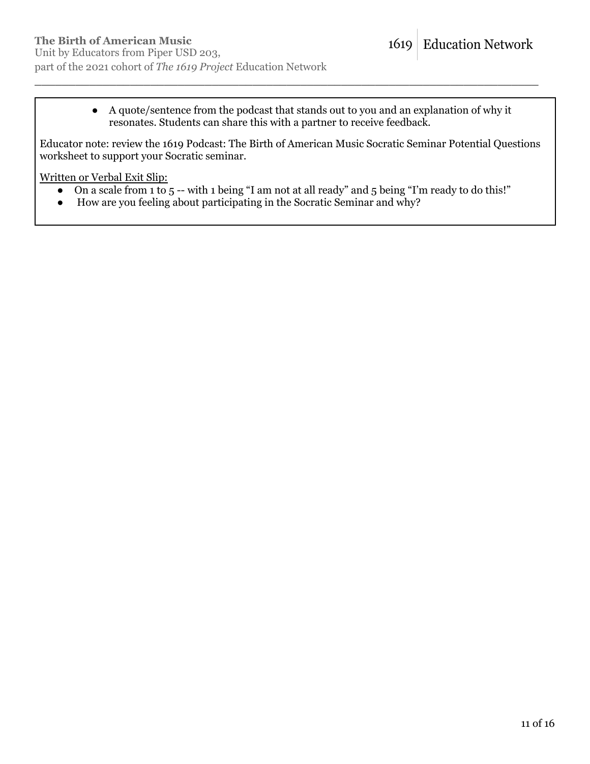● A quote/sentence from the podcast that stands out to you and an explanation of why it resonates. Students can share this with a partner to receive feedback.

Educator note: review the 1619 Podcast: The Birth of American Music Socratic Seminar Potential Questions worksheet to support your Socratic seminar.

\_\_\_\_\_\_\_\_\_\_\_\_\_\_\_\_\_\_\_\_\_\_\_\_\_\_\_\_\_\_\_\_\_\_\_\_\_\_\_\_\_\_\_\_\_\_\_\_\_\_\_\_\_\_\_\_\_\_\_\_\_\_\_\_\_\_\_\_\_\_\_\_\_\_

Written or Verbal Exit Slip:

- On a scale from 1 to 5 -- with 1 being "I am not at all ready" and 5 being "I'm ready to do this!"
- How are you feeling about participating in the Socratic Seminar and why?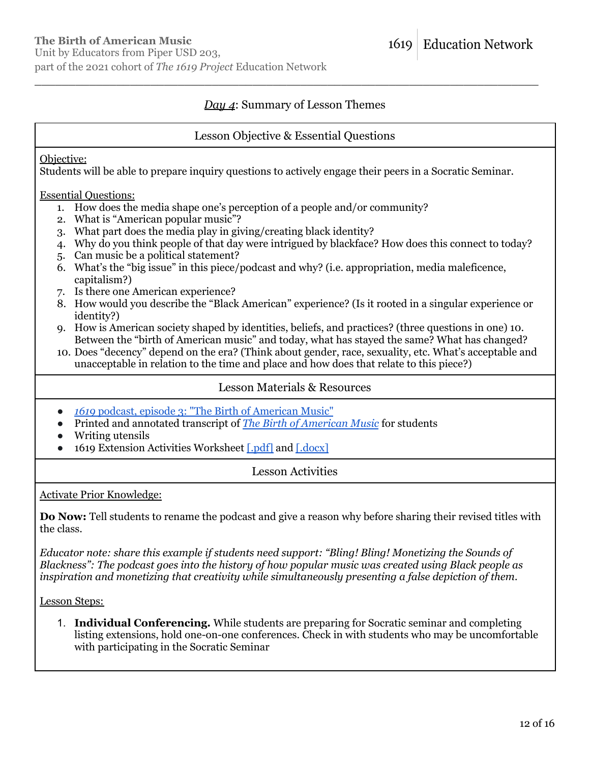## *Day 4*: Summary of Lesson Themes

\_\_\_\_\_\_\_\_\_\_\_\_\_\_\_\_\_\_\_\_\_\_\_\_\_\_\_\_\_\_\_\_\_\_\_\_\_\_\_\_\_\_\_\_\_\_\_\_\_\_\_\_\_\_\_\_\_\_\_\_\_\_\_\_\_\_\_\_\_\_\_\_\_\_

### Lesson Objective & Essential Questions

#### Objective:

Students will be able to prepare inquiry questions to actively engage their peers in a Socratic Seminar.

Essential Questions:

- 1. How does the media shape one's perception of a people and/or community?
- 2. What is "American popular music"?
- 3. What part does the media play in giving/creating black identity?
- 4. Why do you think people of that day were intrigued by blackface? How does this connect to today?
- 5. Can music be a political statement?
- 6. What's the "big issue" in this piece/podcast and why? (i.e. appropriation, media maleficence, capitalism?)
- 7. Is there one American experience?
- 8. How would you describe the "Black American" experience? (Is it rooted in a singular experience or identity?)
- 9. How is American society shaped by identities, beliefs, and practices? (three questions in one) 10. Between the "birth of American music" and today, what has stayed the same? What has changed?
- 10. Does "decency" depend on the era? (Think about gender, race, sexuality, etc. What's acceptable and unacceptable in relation to the time and place and how does that relate to this piece?)

### Lesson Materials & Resources

- *1619* podcast, episode 3: "The Birth of [American](https://www.nytimes.com/2019/09/06/podcasts/1619-black-ame%20rican-music-appropriation.html) Music"
- Printed and annotated transcript of *The Birth of [American](https://www.nytimes.com/2019/09/06/podcasts/1619-black-american-music-appropriation.html?showTranscript=1) Music* for students
- Writing utensils
- 1619 Extension Activities Worksheet [\[.pdf\]](https://pulitzercenter.org/sites/default/files/inline-images/nYi7goqOXAUUpSjruQmtRWm8GlQyqEaBvwzyjcQFE4G25Wt9uY.pdf) and [\[.docx\]](https://pulitzercenter.org/sites/default/files/inline-images/lsUNyapT7ewyv74BivurGy6myHY38VE1GJeaot5X6sjeIyApyC.docx)

### Lesson Activities

Activate Prior Knowledge:

**Do Now:** Tell students to rename the podcast and give a reason why before sharing their revised titles with the class.

*Educator note: share this example if students need support: "Bling! Bling! Monetizing the Sounds of Blackness": The podcast goes into the history of how popular music was created using Black people as inspiration and monetizing that creativity while simultaneously presenting a false depiction of them.*

Lesson Steps:

1. **Individual Conferencing.** While students are preparing for Socratic seminar and completing listing extensions, hold one-on-one conferences. Check in with students who may be uncomfortable with participating in the Socratic Seminar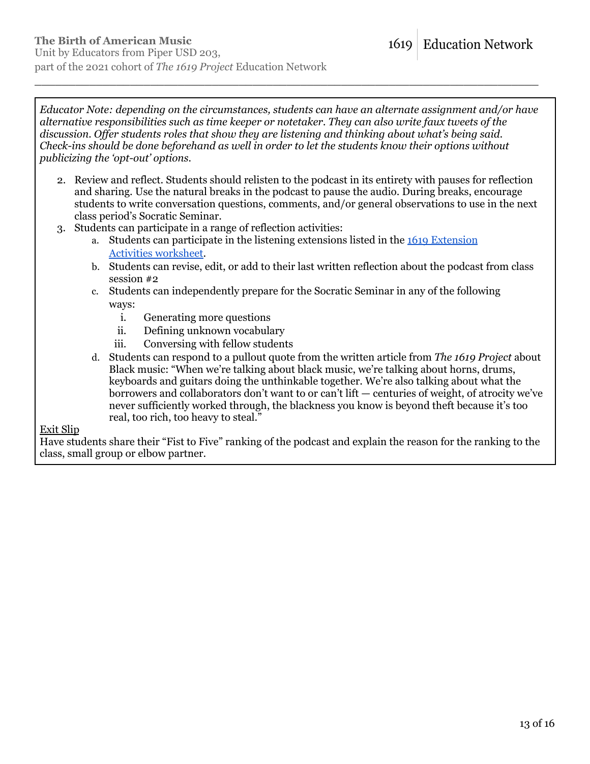*Educator Note: depending on the circumstances, students can have an alternate assignment and/or have alternative responsibilities such as time keeper or notetaker. They can also write faux tweets of the discussion. Of er students roles that show they are listening and thinking about what's being said. Check-ins should be done beforehand as well in order to let the students know their options without publicizing the 'opt-out' options.*

\_\_\_\_\_\_\_\_\_\_\_\_\_\_\_\_\_\_\_\_\_\_\_\_\_\_\_\_\_\_\_\_\_\_\_\_\_\_\_\_\_\_\_\_\_\_\_\_\_\_\_\_\_\_\_\_\_\_\_\_\_\_\_\_\_\_\_\_\_\_\_\_\_\_

- 2. Review and reflect. Students should relisten to the podcast in its entirety with pauses for reflection and sharing. Use the natural breaks in the podcast to pause the audio. During breaks, encourage students to write conversation questions, comments, and/or general observations to use in the next class period's Socratic Seminar.
- 3. Students can participate in a range of reflection activities:
	- a. Students can participate in the listening extensions listed in the 1619 [Extension](https://pulitzercenter.org/sites/default/files/inline-images/nYi7goqOXAUUpSjruQmtRWm8GlQyqEaBvwzyjcQFE4G25Wt9uY.pdf) Activities [worksheet](https://pulitzercenter.org/sites/default/files/inline-images/nYi7goqOXAUUpSjruQmtRWm8GlQyqEaBvwzyjcQFE4G25Wt9uY.pdf).
	- b. Students can revise, edit, or add to their last written reflection about the podcast from class session #2
	- c. Students can independently prepare for the Socratic Seminar in any of the following ways:
		- i. Generating more questions
		- ii. Defining unknown vocabulary
		- iii. Conversing with fellow students
	- d. Students can respond to a pullout quote from the written article from *The 1619 Project* about Black music: "When we're talking about black music, we're talking about horns, drums, keyboards and guitars doing the unthinkable together. We're also talking about what the borrowers and collaborators don't want to or can't lift — centuries of weight, of atrocity we've never sufficiently worked through, the blackness you know is beyond theft because it's too real, too rich, too heavy to steal."

#### Exit Slip

Have students share their "Fist to Five" ranking of the podcast and explain the reason for the ranking to the class, small group or elbow partner.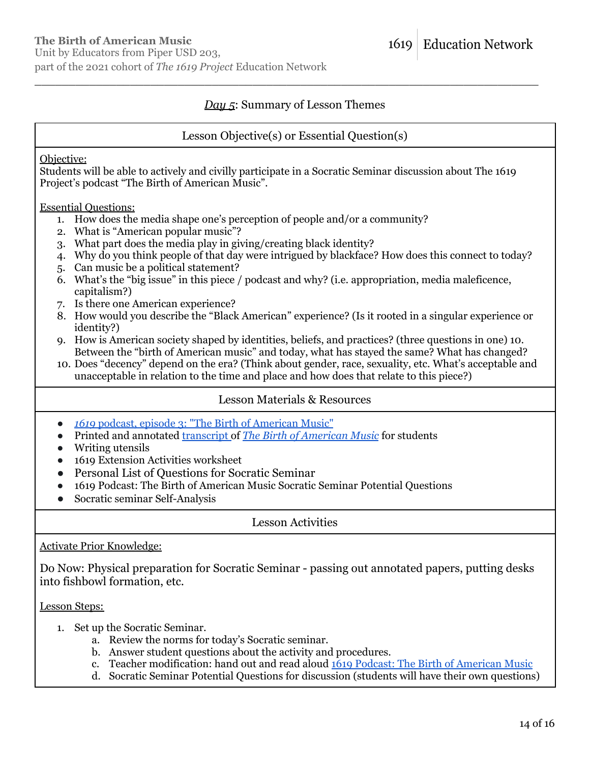## *Day 5*: Summary of Lesson Themes

\_\_\_\_\_\_\_\_\_\_\_\_\_\_\_\_\_\_\_\_\_\_\_\_\_\_\_\_\_\_\_\_\_\_\_\_\_\_\_\_\_\_\_\_\_\_\_\_\_\_\_\_\_\_\_\_\_\_\_\_\_\_\_\_\_\_\_\_\_\_\_\_\_\_

### Lesson Objective(s) or Essential Question(s)

Objective:

Students will be able to actively and civilly participate in a Socratic Seminar discussion about The 1619 Project's podcast "The Birth of American Music".

Essential Questions:

- 1. How does the media shape one's perception of people and/or a community?
- 2. What is "American popular music"?
- 3. What part does the media play in giving/creating black identity?
- 4. Why do you think people of that day were intrigued by blackface? How does this connect to today?
- 5. Can music be a political statement?
- 6. What's the "big issue" in this piece / podcast and why? (i.e. appropriation, media maleficence, capitalism?)
- 7. Is there one American experience?
- 8. How would you describe the "Black American" experience? (Is it rooted in a singular experience or identity?)
- 9. How is American society shaped by identities, beliefs, and practices? (three questions in one) 10. Between the "birth of American music" and today, what has stayed the same? What has changed?
- 10. Does "decency" depend on the era? (Think about gender, race, sexuality, etc. What's acceptable and unacceptable in relation to the time and place and how does that relate to this piece?)

## Lesson Materials & Resources

- *1619* podcast, episode 3: "The Birth of [American](https://www.nytimes.com/2019/09/06/podcasts/1619-black-ame%20rican-music-appropriation.html) Music"
- Printed and annotated [transcript](https://www.nytimes.com/2019/09/06/podcasts/1619-black-american-music-appropriation.html?showTranscript=1) of *The Birth of [American](https://www.nytimes.com/2019/09/06/podcasts/1619-black-american-music-appropriation.html?showTranscript=1) Music* for students
- Writing utensils
- 1619 Extension Activities worksheet
- Personal List of Questions for Socratic Seminar
- 1619 Podcast: The Birth of American Music Socratic Seminar Potential Questions
- Socratic seminar Self-Analysis

Lesson Activities

### Activate Prior Knowledge:

Do Now: Physical preparation for Socratic Seminar - passing out annotated papers, putting desks into fishbowl formation, etc.

Lesson Steps:

- 1. Set up the Socratic Seminar.
	- a. Review the norms for today's Socratic seminar.
	- b. Answer student questions about the activity and procedures.
	- c. Teacher modification: hand out and read aloud 1619 Podcast: The Birth of [American](https://pulitzercenter.org/sites/default/files/inline-images/uHR0sEyjHWLPGbZmv0zhuuNRGYI9tcKyQUOnF2XozrI976kRhP.pdf) Music
	- d. Socratic Seminar Potential Questions for discussion (students will have their own questions)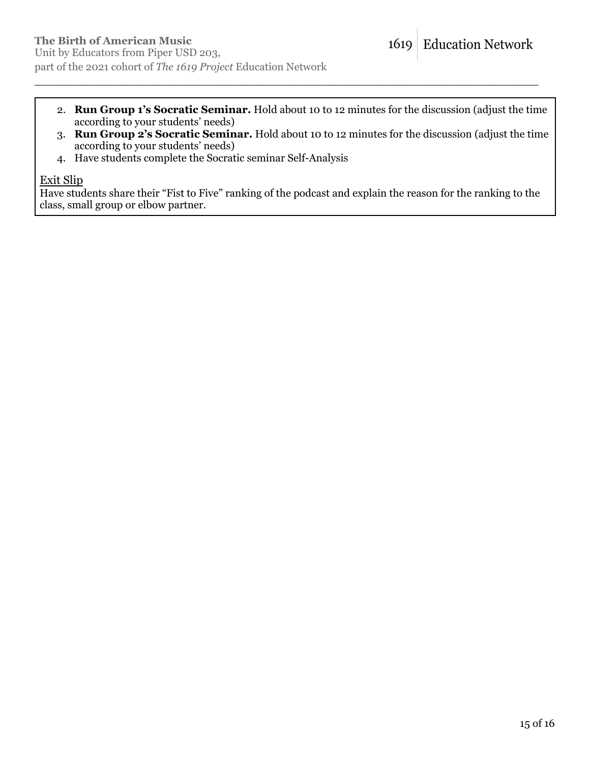2. **Run Group 1's Socratic Seminar.** Hold about 10 to 12 minutes for the discussion (adjust the time according to your students' needs)

\_\_\_\_\_\_\_\_\_\_\_\_\_\_\_\_\_\_\_\_\_\_\_\_\_\_\_\_\_\_\_\_\_\_\_\_\_\_\_\_\_\_\_\_\_\_\_\_\_\_\_\_\_\_\_\_\_\_\_\_\_\_\_\_\_\_\_\_\_\_\_\_\_\_

- 3. **Run Group 2's Socratic Seminar.** Hold about 10 to 12 minutes for the discussion (adjust the time according to your students' needs)
- 4. Have students complete the Socratic seminar Self-Analysis

#### Exit Slip

Have students share their "Fist to Five" ranking of the podcast and explain the reason for the ranking to the class, small group or elbow partner.